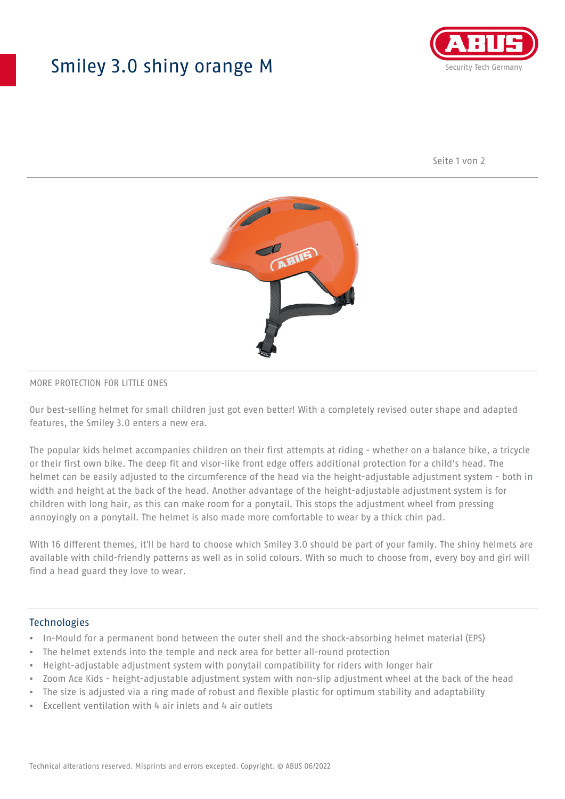## Smiley 3.0 shiny orange M



Seite 1 von 2



#### MORE PROTECTION FOR LITTLE ONES

Our best-selling helmet for small children just got even better! With a completely revised outer shape and adapted features, the Smiley 3.0 enters a new era.

The popular kids helmet accompanies children on their first attempts at riding - whether on a balance bike, a tricycle or their first own bike. The deep fit and visor-like front edge offers additional protection for a child's head. The helmet can be easily adjusted to the circumference of the head via the height-adjustable adjustment system - both in width and height at the back of the head. Another advantage of the height-adjustable adjustment system is for children with long hair, as this can make room for a ponytail. This stops the adjustment wheel from pressing annoyingly on a ponytail. The helmet is also made more comfortable to wear by a thick chin pad.

With 16 different themes, it'll be hard to choose which Smiley 3.0 should be part of your family. The shiny helmets are available with child-friendly patterns as well as in solid colours. With so much to choose from, every boy and girl will find a head guard they love to wear.

#### **Technologies**

- In-Mould for a permanent bond between the outer shell and the shock-absorbing helmet material (EPS)
- The helmet extends into the temple and neck area for better all-round protection
- Height-adjustable adjustment system with ponytail compatibility for riders with longer hair
- Zoom Ace Kids height-adjustable adjustment system with non-slip adjustment wheel at the back of the head
- The size is adjusted via a ring made of robust and flexible plastic for optimum stability and adaptability
- Excellent ventilation with 4 air inlets and 4 air outlets